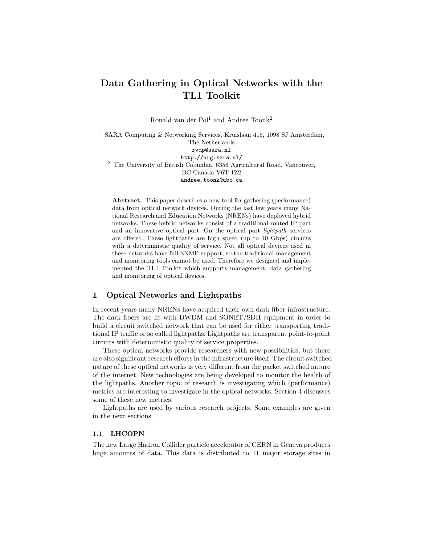# Data Gathering in Optical Networks with the TL1 Toolkit

Ronald van der Pol<sup>1</sup> and Andree Toonk<sup>2</sup>

 $^{\rm 1}$  SARA Computing & Networking Services, Kruislaan 415, 1098 SJ Amsterdam, The Netherlands rvdp@sara.nl http://nrg.sara.nl/ <sup>2</sup> The University of British Columbia, 6356 Agricultural Road, Vancouver, BC Canada V6T 1Z2 andree.toonk@ubc.ca

Abstract. This paper describes a new tool for gathering (performance) data from optical network devices. During the last few years many National Research and Education Networks (NRENs) have deployed hybrid networks. These hybrid networks consist of a traditional routed IP part and an innovative optical part. On the optical part lightpath services are offered. These lightpaths are high speed (up to 10 Gbps) circuits with a deterministic quality of service. Not all optical devices used in these networks have full SNMP support, so the traditional management and monitoring tools cannot be used. Therefore we designed and implemented the TL1 Toolkit which supports management, data gathering and monitoring of optical devices.

## 1 Optical Networks and Lightpaths

In recent years many NRENs have acquired their own dark fiber infrastructure. The dark fibers are lit with DWDM and SONET/SDH equipment in order to build a circuit switched network that can be used for either transporting traditional IP traffic or so called lightpaths. Lightpaths are transparent point-to-point circuits with deterministic quality of service properties.

These optical networks provide researchers with new possibilities, but there are also significant research efforts in the infrastructure itself. The circuit switched nature of these optical networks is very different from the packet switched nature of the internet. New technologies are being developed to monitor the health of the lightpaths. Another topic of research is investigating which (performance) metrics are interesting to investigate in the optical networks. Section 4 discusses some of these new metrics.

Lightpaths are used by various research projects. Some examples are given in the next sections.

# 1.1 LHCOPN

The new Large Hadron Collider particle accelerator of CERN in Geneva produces huge amounts of data. This data is distributed to 11 major storage sites in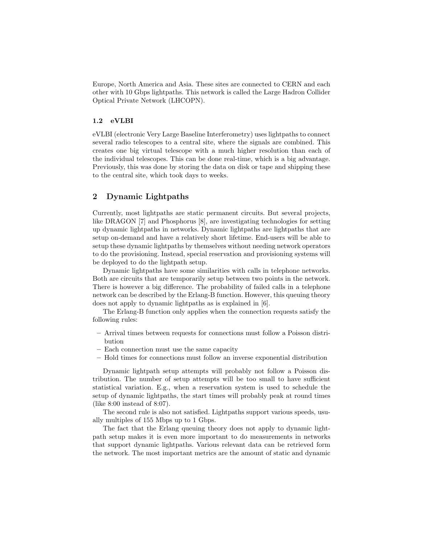Europe, North America and Asia. These sites are connected to CERN and each other with 10 Gbps lightpaths. This network is called the Large Hadron Collider Optical Private Network (LHCOPN).

#### 1.2 eVLBI

eVLBI (electronic Very Large Baseline Interferometry) uses lightpaths to connect several radio telescopes to a central site, where the signals are combined. This creates one big virtual telescope with a much higher resolution than each of the individual telescopes. This can be done real-time, which is a big advantage. Previously, this was done by storing the data on disk or tape and shipping these to the central site, which took days to weeks.

# 2 Dynamic Lightpaths

Currently, most lightpaths are static permanent circuits. But several projects, like DRAGON [7] and Phosphorus [8], are investigating technologies for setting up dynamic lightpaths in networks. Dynamic lightpaths are lightpaths that are setup on-demand and have a relatively short lifetime. End-users will be able to setup these dynamic lightpaths by themselves without needing network operators to do the provisioning. Instead, special reservation and provisioning systems will be deployed to do the lightpath setup.

Dynamic lightpaths have some similarities with calls in telephone networks. Both are circuits that are temporarily setup between two points in the network. There is however a big difference. The probability of failed calls in a telephone network can be described by the Erlang-B function. However, this queuing theory does not apply to dynamic lightpaths as is explained in [6].

The Erlang-B function only applies when the connection requests satisfy the following rules:

- Arrival times between requests for connections must follow a Poisson distribution
- Each connection must use the same capacity
- Hold times for connections must follow an inverse exponential distribution

Dynamic lightpath setup attempts will probably not follow a Poisson distribution. The number of setup attempts will be too small to have sufficient statistical variation. E.g., when a reservation system is used to schedule the setup of dynamic lightpaths, the start times will probably peak at round times (like 8:00 instead of 8:07).

The second rule is also not satisfied. Lightpaths support various speeds, usually multiples of 155 Mbps up to 1 Gbps.

The fact that the Erlang queuing theory does not apply to dynamic lightpath setup makes it is even more important to do measurements in networks that support dynamic lightpaths. Various relevant data can be retrieved form the network. The most important metrics are the amount of static and dynamic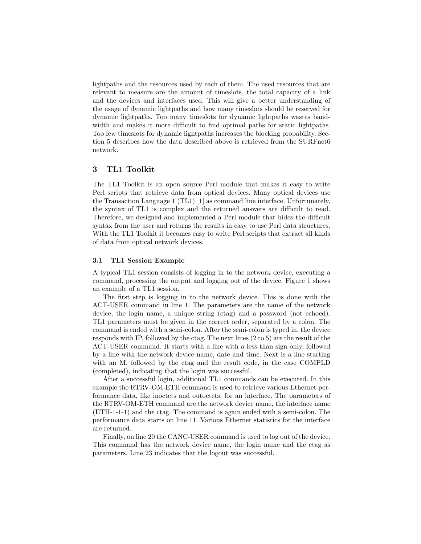lightpaths and the resources used by each of them. The used resources that are relevant to measure are the amount of timeslots, the total capacity of a link and the devices and interfaces used. This will give a better understanding of the usage of dynamic lightpaths and how many timeslots should be reserved for dynamic lightpaths. Too many timeslots for dynamic lightpaths wastes bandwidth and makes it more difficult to find optimal paths for static lightpaths. Too few timeslots for dynamic lightpaths increases the blocking probability. Section 5 describes how the data described above is retrieved from the SURFnet6 network.

# 3 TL1 Toolkit

The TL1 Toolkit is an open source Perl module that makes it easy to write Perl scripts that retrieve data from optical devices. Many optical devices use the Transaction Language 1 (TL1) [1] as command line interface. Unfortunately, the syntax of TL1 is complex and the returned answers are difficult to read. Therefore, we designed and implemented a Perl module that hides the difficult syntax from the user and returns the results in easy to use Perl data structures. With the TL1 Toolkit it becomes easy to write Perl scripts that extract all kinds of data from optical network devices.

#### 3.1 TL1 Session Example

A typical TL1 session consists of logging in to the network device, executing a command, processing the output and logging out of the device. Figure 1 shows an example of a TL1 session.

The first step is logging in to the network device. This is done with the ACT-USER command in line 1. The parameters are the name of the network device, the login name, a unique string (ctag) and a password (not echoed). TL1 parameters must be given in the correct order, separated by a colon. The command is ended with a semi-colon. After the semi-colon is typed in, the device responds with IP, followed by the ctag. The next lines (2 to 5) are the result of the ACT-USER command. It starts with a line with a less-than sign only, followed by a line with the network device name, date and time. Next is a line starting with an M, followed by the ctag and the result code, in the case COMPLD (completed), indicating that the login was successful.

After a successful login, additional TL1 commands can be executed. In this example the RTRV-OM-ETH command is used to retrieve various Ethernet performance data, like inoctets and outoctets, for an interface. The parameters of the RTRV-OM-ETH command are the network device name, the interface name (ETH-1-1-1) and the ctag. The command is again ended with a semi-colon. The performance data starts on line 11. Various Ethernet statistics for the interface are returned.

Finally, on line 20 the CANC-USER command is used to log out of the device. This command has the network device name, the login name and the ctag as parameters. Line 23 indicates that the logout was successful.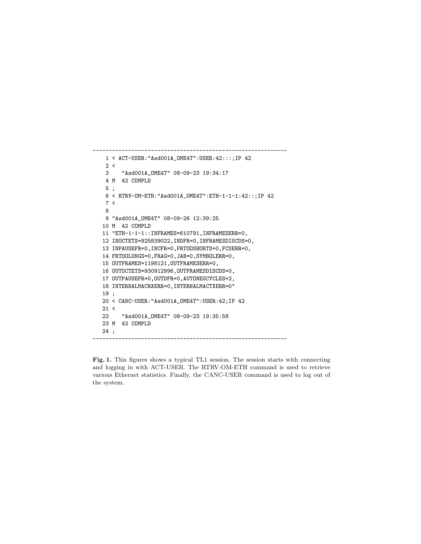```
1 < ACT-USER:"Asd001A_OME4T":USER:42:::;IP 42
   2 <3 "Asd001A_OME4T" 08-09-23 19:34:17
   4 M 42 COMPLD
   5 ;
   6 < RTRV-OM-ETH:"Asd001A_OME4T":ETH-1-1-1:42::;IP 42
   7 <
   8
   9 "Asd001A_OME4T" 08-09-26 12:39:25
  10 M 42 COMPLD
  11 "ETH-1-1-1::INFRAMES=610791,INFRAMESERR=0,
  12 INOCTETS=925839022,INDFR=0,INFRAMESDISCDS=0,
  13 INPAUSEFR=0,INCFR=0,FRTOOSHORTS=0,FCSERR=0,
  14 FRTOOLONGS=0,FRAG=0,JAB=0,SYMBOLERR=0,
  15 OUTFRAMES=1198121,OUTFRAMESERR=0,
  16 OUTOCTETS=930912996,OUTFRAMESDISCDS=0,
  17 OUTPAUSEFR=0,OUTDFR=0,AUTONEGCYCLES=2,
  18 INTERNALMACRXERR=0,INTERNALMACTXERR=0"
  19 ;
  20 < CANC-USER:"Asd001A_OME4T":USER:42;IP 42
  21 <22 "Asd001A_OME4T" 08-09-23 19:35:58
  23 M 42 COMPLD
  24 ;
------------------------------------------------------------
```
------------------------------------------------------------

Fig. 1. This figures shows a typical TL1 session. The session starts with connecting and logging in with ACT-USER. The RTRV-OM-ETH command is used to retrieve various Ethernet statistics. Finally, the CANC-USER command is used to log out of the system.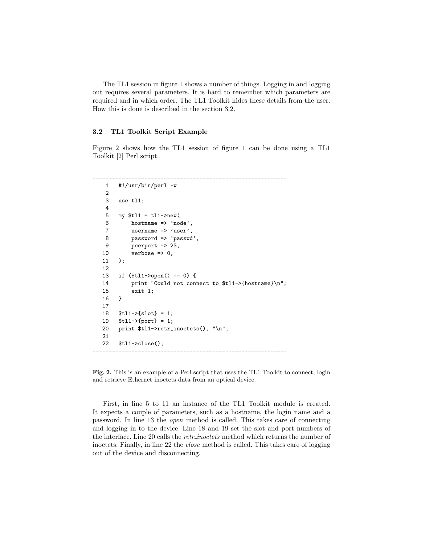The TL1 session in figure 1 shows a number of things. Logging in and logging out requires several parameters. It is hard to remember which parameters are required and in which order. The TL1 Toolkit hides these details from the user. How this is done is described in the section 3.2.

#### 3.2 TL1 Toolkit Script Example

Figure 2 shows how the TL1 session of figure 1 can be done using a TL1 Toolkit [2] Perl script.

```
------------------------------------------------------------
   1 #!/usr/bin/perl -w
   2
   3 use tl1;
   4
   5 my t11 = t11 - \text{new}6 hostname => 'node',
   7 username => 'user',
   8 password => 'passwd',
   9 peerport => 23,
  10 verbose => 0,
  11 );
  12
  13 if ($tl1->open() == 0) {
  14 print "Could not connect to $tl1->{hostname}\n";<br>15 exit 1:
            exit 1;
  16 }
  17
  18 $tl1->{slot} = 1;
  19 $tl1->{port} = 1;
  20 print $tl1->retr_inoctets(), "\n",
  21
  22 $tl1->close();
                                    ------------------------------------------------------------
```
Fig. 2. This is an example of a Perl script that uses the TL1 Toolkit to connect, login and retrieve Ethernet inoctets data from an optical device.

First, in line 5 to 11 an instance of the TL1 Toolkit module is created. It expects a couple of parameters, such as a hostname, the login name and a password. In line 13 the open method is called. This takes care of connecting and logging in to the device. Line 18 and 19 set the slot and port numbers of the interface. Line 20 calls the *retr\_inoctets* method which returns the number of inoctets. Finally, in line 22 the close method is called. This takes care of logging out of the device and disconnecting.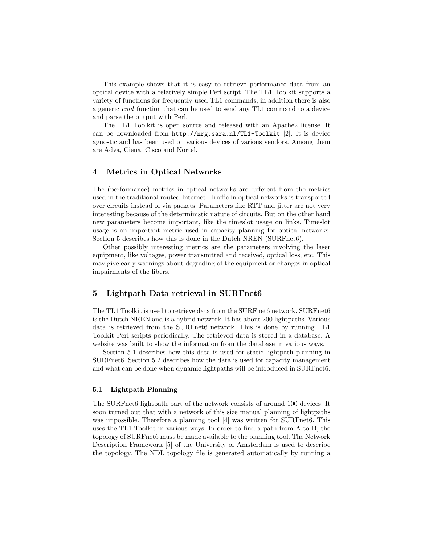This example shows that it is easy to retrieve performance data from an optical device with a relatively simple Perl script. The TL1 Toolkit supports a variety of functions for frequently used TL1 commands; in addition there is also a generic cmd function that can be used to send any TL1 command to a device and parse the output with Perl.

The TL1 Toolkit is open source and released with an Apache2 license. It can be downloaded from  $http://nrg.sara.nl/TL1-Toolkit$  [2]. It is device agnostic and has been used on various devices of various vendors. Among them are Adva, Ciena, Cisco and Nortel.

# 4 Metrics in Optical Networks

The (performance) metrics in optical networks are different from the metrics used in the traditional routed Internet. Traffic in optical networks is transported over circuits instead of via packets. Parameters like RTT and jitter are not very interesting because of the deterministic nature of circuits. But on the other hand new parameters become important, like the timeslot usage on links. Timeslot usage is an important metric used in capacity planning for optical networks. Section 5 describes how this is done in the Dutch NREN (SURFnet6).

Other possibly interesting metrics are the parameters involving the laser equipment, like voltages, power transmitted and received, optical loss, etc. This may give early warnings about degrading of the equipment or changes in optical impairments of the fibers.

# 5 Lightpath Data retrieval in SURFnet6

The TL1 Toolkit is used to retrieve data from the SURFnet6 network. SURFnet6 is the Dutch NREN and is a hybrid network. It has about 200 lightpaths. Various data is retrieved from the SURFnet6 network. This is done by running TL1 Toolkit Perl scripts periodically. The retrieved data is stored in a database. A website was built to show the information from the database in various ways.

Section 5.1 describes how this data is used for static lightpath planning in SURFnet6. Section 5.2 describes how the data is used for capacity management and what can be done when dynamic lightpaths will be introduced in SURFnet6.

#### 5.1 Lightpath Planning

The SURFnet6 lightpath part of the network consists of around 100 devices. It soon turned out that with a network of this size manual planning of lightpaths was impossible. Therefore a planning tool [4] was written for SURFnet6. This uses the TL1 Toolkit in various ways. In order to find a path from A to B, the topology of SURFnet6 must be made available to the planning tool. The Network Description Framework [5] of the University of Amsterdam is used to describe the topology. The NDL topology file is generated automatically by running a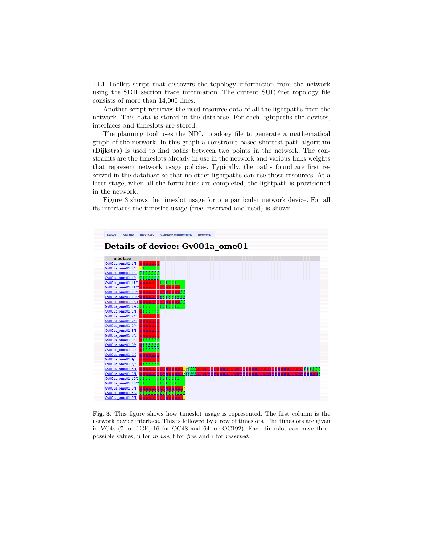TL1 Toolkit script that discovers the topology information from the network using the SDH section trace information. The current SURFnet topology file consists of more than 14,000 lines.

Another script retrieves the used resource data of all the lightpaths from the network. This data is stored in the database. For each lightpaths the devices, interfaces and timeslots are stored.

The planning tool uses the NDL topology file to generate a mathematical graph of the network. In this graph a constraint based shortest path algorithm (Dijkstra) is used to find paths between two points in the network. The constraints are the timeslots already in use in the network and various links weights that represent network usage policies. Typically, the paths found are first reserved in the database so that no other lightpaths can use those resources. At a later stage, when all the formalities are completed, the lightpath is provisioned in the network.

Figure 3 shows the timeslot usage for one particular network device. For all its interfaces the timeslot usage (free, reserved and used) is shown.



Fig. 3. This figure shows how timeslot usage is represented. The first column is the network device interface. This is followed by a row of timeslots. The timeslots are given in VC4s (7 for 1GE, 16 for OC48 and 64 for OC192). Each timeslot can have three possible values, u for in use, f for free and r for reserved.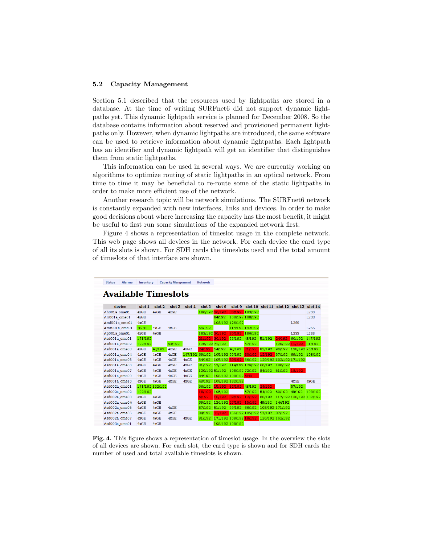#### 5.2 Capacity Management

Section 5.1 described that the resources used by lightpaths are stored in a database. At the time of writing SURFnet6 did not support dynamic lightpaths yet. This dynamic lightpath service is planned for December 2008. So the database contains information about reserved and provisioned permanent lightpaths only. However, when dynamic lightpaths are introduced, the same software can be used to retrieve information about dynamic lightpaths. Each lightpath has an identifier and dynamic lightpath will get an identifier that distinguishes them from static lightpaths.

This information can be used in several ways. We are currently working on algorithms to optimize routing of static lightpaths in an optical network. From time to time it may be beneficial to re-route some of the static lightpaths in order to make more efficient use of the network.

Another research topic will be network simulations. The SURFnet6 network is constantly expanded with new interfaces, links and devices. In order to make good decisions about where increasing the capacity has the most benefit, it might be useful to first run some simulations of the expanded network first.

Figure 4 shows a representation of timeslot usage in the complete network. This web page shows all devices in the network. For each device the card type of all its slots is shown. For SDH cards the timeslots used and the total amount of timeslots of that interface are shown.

|               |                            |         |                 | <b>Capacity Mangement</b> |         |                |                |                        |         |                 |                                         |                         |                   |
|---------------|----------------------------|---------|-----------------|---------------------------|---------|----------------|----------------|------------------------|---------|-----------------|-----------------------------------------|-------------------------|-------------------|
|               | <b>Available Timeslots</b> |         |                 |                           |         |                |                |                        |         |                 |                                         |                         |                   |
|               | device                     | slot 1  | slot 2          | slot 3                    | slot 4  | slot 5         | slot 6         | slot 9                 |         |                 | slot 10 slot 11 slot 12 slot 13 slot 14 |                         |                   |
| Ah001a ome01  |                            | 4xGE    | 4xGE            | 4xGE                      |         | 186/192        | 30/192         | 30/192                 | 183/192 |                 |                                         |                         | L <sub>2</sub> SS |
| Alr001a ome01 |                            | 4xGE    |                 |                           |         |                | 84/192         | 108/192 168/192        |         |                 |                                         |                         | L <sub>2</sub> SS |
| Amf001a ome01 |                            | 4xGE    |                 |                           |         |                |                | 108/192 126/192        |         |                 |                                         | L <sub>2</sub> SS       |                   |
| Amr001a ome01 |                            | 48/48   | 4xGE            | 4xGE                      |         | 69/192         |                | 114/192 192/192        |         |                 |                                         |                         | L2SS              |
| Ap001a ome01  |                            | 4xGE    | 4xGE            |                           |         | 183/192 30/192 |                | 30/192                 | 186/192 |                 |                                         | L <sub>2</sub> SS       | L2SS              |
| Asd001a ome01 |                            | 171/192 |                 |                           |         | 21/192         | 30/192         | 66/192                 | 48/192  | 51/192          | 24/192                                  | 60/192                  | 147/192           |
| Asd001a ome02 |                            | 192/192 |                 | 54/192                    |         | 126/192 72/192 |                |                        | 57/192  |                 | 120/192                                 | 12/192                  | 81/192            |
| Asd001a ome03 |                            | 4xGE    | 48/192          | 4xGE                      | 4xGE    | 24/192         | 54/192         | 48/192                 | 21/192  | 81/192          | 96/192                                  | 138/192 75/192          |                   |
| Asd001a ome04 |                            | 4xGE    | 4xGE            | 4xGE                      | 147/192 | 69/192         | 105/192 90/192 |                        | 30/192  | 12/192          | 57/192                                  | 69/192                  | 108/192           |
| Asd001a ome05 |                            | 4xGE    | 4xGE            | 4xGE                      | 4xGE    | 54/192         | 105/192 39/192 |                        | 66/192  |                 | 120/192 102/192 171/192                 |                         |                   |
| Asd001a ome06 |                            | 4xGE    | 4xGE            | 4xGE                      | 4xGE    | 81/192         | 57/192         | 114/192 126/192 60/192 |         |                 | 180/192                                 |                         |                   |
| Asd001a ome07 |                            | 4xGE    | 4xGF            | 4xGE                      | 4xGF    | 120/192 51/192 |                | 108/192 72/192         |         | 84/192          | 51/192                                  | 18/192                  |                   |
| Asd001a ome09 |                            | 4xGE    | 4xGE            | 4xGE                      | 4xGE    | 84/192         |                | 108/192 108/192 6/48   |         |                 |                                         |                         |                   |
| Asd001a ome10 |                            | 4xGE    | 4xGE            | 4xGE                      | 4xGE    | 48/192         |                | 108/192 132/192        |         |                 |                                         | 4xGE                    | 4xGE              |
| Asd002a ome01 |                            |         | 171/192 162/192 |                           |         | 66/192         | 15/192         | 12/192                 | 48/192  | 24/192          |                                         | 57/192                  |                   |
| Asd002a ome02 |                            | 192/192 |                 |                           |         | 18/192         | 105/192        |                        | 57/192  | 54/192          | 60/192                                  | 48/192                  | 108/192           |
| Asd002a ome03 |                            | 4xGE    | 4xGE            |                           |         | 6/192          | 18/192         | 39/192                 | 12/192  | 60/192          |                                         | 117/192 138/192 132/192 |                   |
| Asd002a ome04 |                            | 4xGE    | 4xGE            |                           |         | 69/192         | 126/192        | 27/192                 | 15/192  | 48/192          | 144/192                                 |                         |                   |
| Asd002a ome05 |                            | 4xGE    | 4xGE            | 4xGE                      |         | 87/192         | 51/192         | 99/192                 | 66/192  |                 | 108/192 171/192                         |                         |                   |
| Asd002a ome06 |                            | 4xGE    | 4xGE            | 4xGE                      |         | 84/192         | 33/192         | 156/192 105/192 57/192 |         |                 | 87/192                                  |                         |                   |
| Asd002a ome07 |                            | 4xGE    | 4xGE            | 4xGE                      | 4xGE    | 81/192         |                | 171/192 108/192 18/192 |         | 126/192 162/192 |                                         |                         |                   |
| Asd003a ome01 |                            | 4xGE    | 4xGE            |                           |         |                |                | 108/192 108/192        |         |                 |                                         |                         |                   |

Fig. 4. This figure shows a representation of timeslot usage. In the overview the slots of all devices are shown. For each slot, the card type is shown and for SDH cards the number of used and total available timeslots is shown.